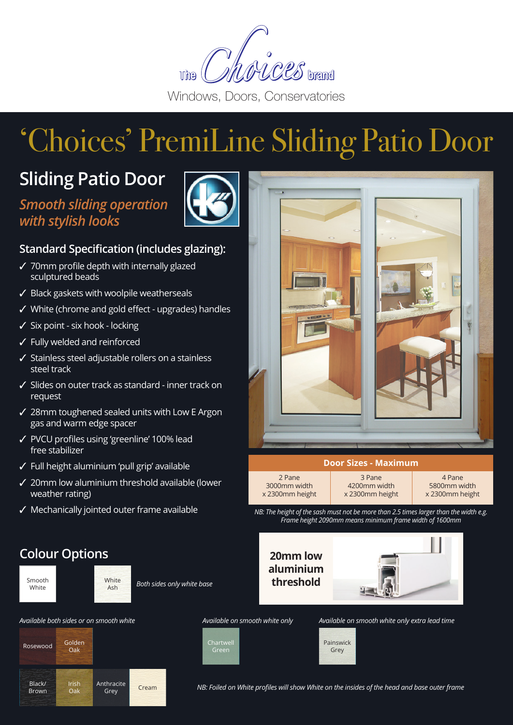

# 'Choices' PremiLine Sliding Patio Door

## **Sliding Patio Door**

*Smooth sliding operation with stylish looks*



#### **Standard Specification (includes glazing):**

- $\checkmark$  70mm profile depth with internally glazed sculptured beads
- $\checkmark$  Black gaskets with woolpile weatherseals
- $\checkmark$  White (chrome and gold effect upgrades) handles
- $\checkmark$  Six point six hook locking
- $\checkmark$  Fully welded and reinforced
- $\checkmark$  Stainless steel adjustable rollers on a stainless steel track
- $\checkmark$  Slides on outer track as standard inner track on request
- $\checkmark$  28mm toughened sealed units with Low E Argon gas and warm edge spacer
- 3 PVCU profiles using 'greenline' 100% lead free stabilizer
- $\checkmark$  Full height aluminium 'pull grip' available
- $\checkmark$  20mm low aluminium threshold available (lower weather rating)
- $\checkmark$  Mechanically jointed outer frame available



#### **Door Sizes - Maximum**

2 Pane 3000mm width x 2300mm height

3 Pane 4200mm width x 2300mm height

4 Pane 5800mm width x 2300mm height

*NB: The height of the sash must not be more than 2.5 times larger than the width e.g. Frame height 2090mm means minimum frame width of 1600mm*